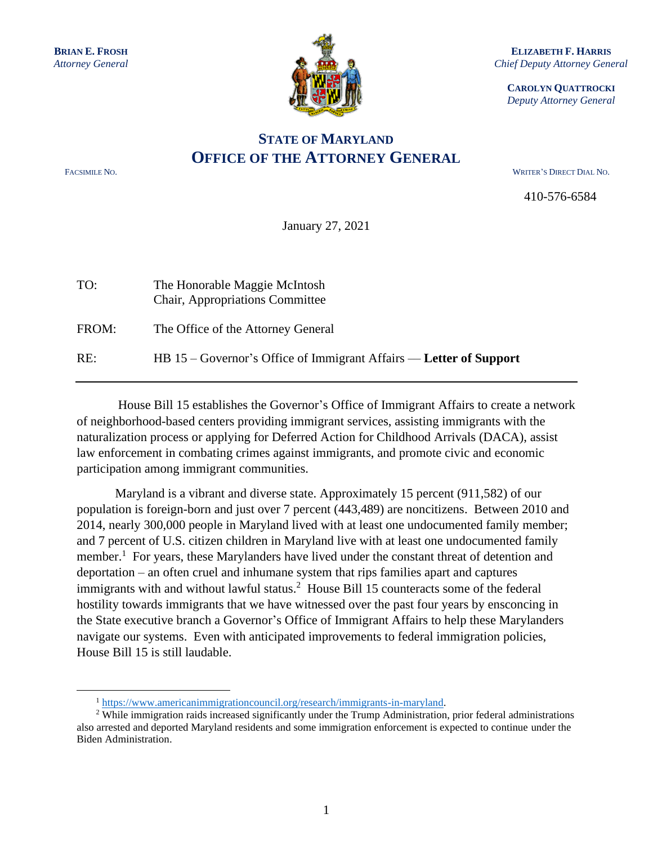

**ELIZABETH F. HARRIS** *Chief Deputy Attorney General*

**CAROLYN QUATTROCKI** *Deputy Attorney General*

## **STATE OF MARYLAND OFFICE OF THE ATTORNEY GENERAL**

FACSIMILE NO. WRITER'S DIRECT DIAL NO.

410-576-6584

January 27, 2021

| TO:   | The Honorable Maggie McIntosh<br>Chair, Appropriations Committee   |
|-------|--------------------------------------------------------------------|
| FROM: | The Office of the Attorney General                                 |
| RE:   | HB 15 – Governor's Office of Immigrant Affairs — Letter of Support |

House Bill 15 establishes the Governor's Office of Immigrant Affairs to create a network of neighborhood-based centers providing immigrant services, assisting immigrants with the naturalization process or applying for Deferred Action for Childhood Arrivals (DACA), assist law enforcement in combating crimes against immigrants, and promote civic and economic participation among immigrant communities.

Maryland is a vibrant and diverse state. Approximately 15 percent (911,582) of our population is foreign-born and just over 7 percent (443,489) are noncitizens. Between 2010 and 2014, nearly 300,000 people in Maryland lived with at least one undocumented family member; and 7 percent of U.S. citizen children in Maryland live with at least one undocumented family member.<sup>1</sup> For years, these Marylanders have lived under the constant threat of detention and deportation – an often cruel and inhumane system that rips families apart and captures immigrants with and without lawful status.<sup>2</sup> House Bill 15 counteracts some of the federal hostility towards immigrants that we have witnessed over the past four years by ensconcing in the State executive branch a Governor's Office of Immigrant Affairs to help these Marylanders navigate our systems. Even with anticipated improvements to federal immigration policies, House Bill 15 is still laudable.

<sup>1</sup> [https://www.americanimmigrationcouncil.org/research/immigrants-in-maryland.](https://www.americanimmigrationcouncil.org/research/immigrants-in-maryland)

 $2$  While immigration raids increased significantly under the Trump Administration, prior federal administrations also arrested and deported Maryland residents and some immigration enforcement is expected to continue under the Biden Administration.